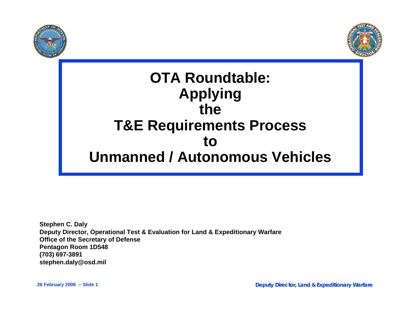



# **OTA Roundtable: Applying theT&E Requirements Process to Unmanned / Autonomous Vehicles**

**Stephen C. Daly Deputy Director, Operational Test & Evaluation for Land & Expeditionary Warfare Office of the Secretary of Defense Pentagon Room 1D548 (703) 697-3891 stephen.daly@osd.mil**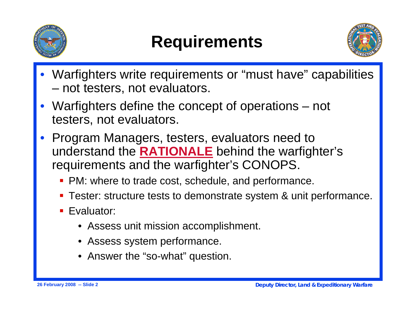

# **Requirements**



- Warfighters write requirements or "must have" capabilities –not testers, not evaluators.
- Warfighters define the concept of operations not testers, not evaluators.
- • Program Managers, testers, evaluators need to understand the **RATIONALE** behind the warfighter's requirements and the warfighter's CONOPS.
	- **PM: where to trade cost, schedule, and performance.**
	- **Tester: structure tests to demonstrate system & unit performance.**
	- **Exaluator:** 
		- Assess unit mission accomplishment.
		- Assess system performance.
		- Answer the "so-what" question.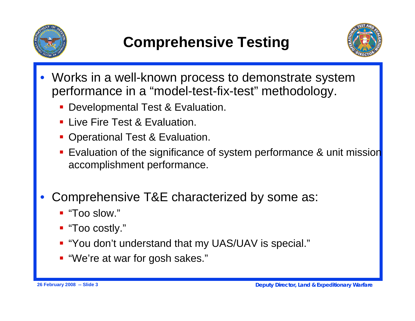



- • Works in a well-known process to demonstrate system performance in a "model-test-fix-test" methodology.
	- Developmental Test & Evaluation.
	- **Example Test & Evaluation.**
	- **Operational Test & Evaluation.**
	- Ξ Evaluation of the significance of system performance & unit mission accomplishment performance.
- • Comprehensive T&E characterized by some as:
	- "Too slow."
	- "Too costly."
	- "You don't understand that my UAS/UAV is special."
	- "We're at war for gosh sakes."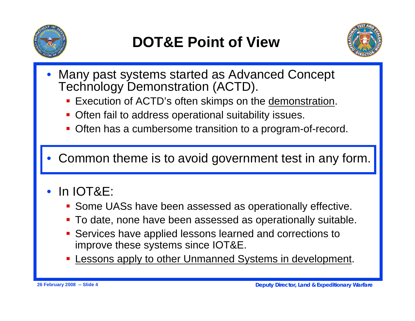



- • Many past systems started as Advanced Concept Technology Demonstration (ACTD).
	- Execution of ACTD's often skimps on the demonstration.
	- **Often fail to address operational suitability issues.**
	- Ξ Often has a cumbersome transition to a program-of-record.
- •Common theme is to avoid government test in any form.
- • In IOT&E:
	- Some UASs have been assessed as operationally effective.
	- To date, none have been assessed as operationally suitable.
	- $\mathcal{L}(\mathcal{L})$  Services have applied lessons learned and corrections to improve these systems since IOT&E.
	- **Service Service** Lessons apply to other Unmanned Systems in development.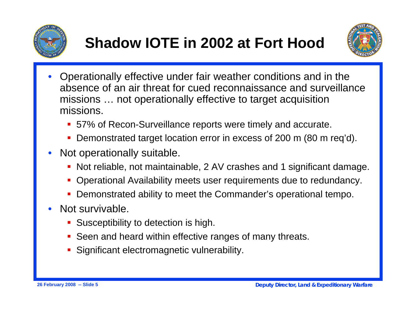



- • Operationally effective under fair weather conditions and in the absence of an air threat for cued reconnaissance and surveillance missions … not operationally effective to target acquisition missions.
	- 57% of Recon-Surveillance reports were timely and accurate.
	- Г Demonstrated target location error in excess of 200 m (80 m req'd).
- • Not operationally suitable.
	- Г Not reliable, not maintainable, 2 AV crashes and 1 significant damage.
	- Г Operational Availability meets user requirements due to redundancy.
	- $\overline{\mathcal{L}}$ Demonstrated ability to meet the Commander's operational tempo.
- • Not survivable.
	- **Susceptibility to detection is high.**
	- **Seen and heard within effective ranges of many threats.**
	- **Significant electromagnetic vulnerability.**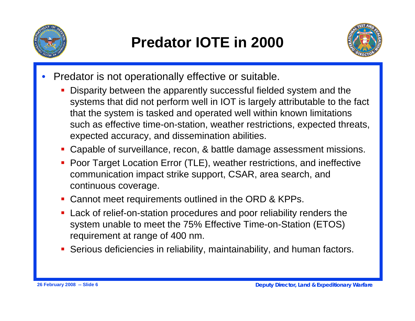



- • Predator is not operationally effective or suitable.
	- Г Disparity between the apparently successful fielded system and the systems that did not perform well in IOT is largely attributable to the fact that the system is tasked and operated well within known limitations such as effective time-on-station, weather restrictions, expected threats, expected accuracy, and dissemination abilities.
	- Г Capable of surveillance, recon, & battle damage assessment missions.
	- **Poor Target Location Error (TLE), weather restrictions, and ineffective** communication impact strike support, CSAR, area search, and continuous coverage.
	- Г Cannot meet requirements outlined in the ORD & KPPs.
	- Г Lack of relief-on-station procedures and poor reliability renders the system unable to meet the 75% Effective Time-on-Station (ETOS) requirement at range of 400 nm.
	- Serious deficiencies in reliability, maintainability, and human factors.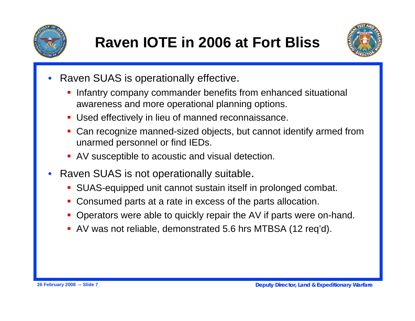



- • Raven SUAS is operationally effective.
	- ł. Infantry company commander benefits from enhanced situational awareness and more operational planning options.
	- $\overline{\phantom{a}}$ Used effectively in lieu of manned reconnaissance.
	- Can recognize manned-sized objects, but cannot identify armed from unarmed personnel or find IEDs.
	- AV susceptible to acoustic and visual detection.
- • Raven SUAS is not operationally suitable.
	- SUAS-equipped unit cannot sustain itself in prolonged combat.
	- $\mathcal{L}_{\mathcal{A}}$ Consumed parts at a rate in excess of the parts allocation.
	- Г Operators were able to quickly repair the AV if parts were on-hand.
	- AV was not reliable, demonstrated 5.6 hrs MTBSA (12 req'd).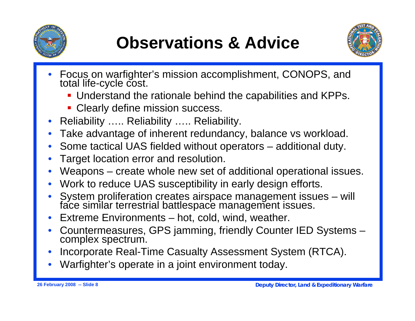



- • Focus on warfighter's mission accomplishment, CONOPS, and total life-cycle cost.
	- Understand the rationale behind the capabilities and KPPs.
	- **Clearly define mission success.**
- •Reliability ….. Reliability ….. Reliability.
- •Take advantage of inherent redundancy, balance vs workload.
- •Some tactical UAS fielded without operators – additional duty.
- •Target location error and resolution.
- •Weapons – create whole new set of additional operational issues.
- •Work to reduce UAS susceptibility in early design efforts.
- •System proliferation creates airspace management issues – will face similar terrestrial battlespace management issues.
- •Extreme Environments – hot, cold, wind, weather.
- •Countermeasures, GPS jamming, friendly Counter IED Systems – complex spectrum.
- •Incorporate Real-Time Casualty Assessment System (RTCA).
- •Warfighter's operate in a joint environment today.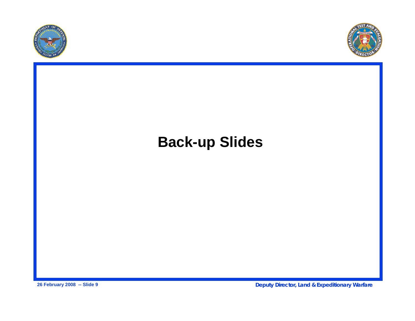



# **Back-up Slides**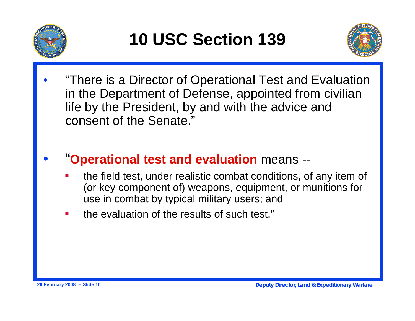



• "There is a Director of Operational Test and Evaluation in the Department of Defense, appointed from civilian life by the President, by and with the advice and consent of the Senate."

### •"**Operational test and evaluation** means --

- Ŧ the field test, under realistic combat conditions, of any item of (or key component of) weapons, equipment, or munitions for use in combat by typical military users; and
- **Service Service** the evaluation of the results of such test."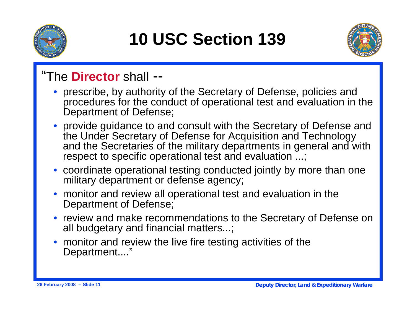

# **10 USC Section 139**



## "The **Director** shall --

- prescribe, by authority of the Secretary of Defense, policies and procedures for the conduct of operational test and evaluation in the Department of Defense;
- provide guidance to and consult with the Secretary of Defense and the Under Secretary of Defense for Acquisition and Technology and the Secretaries of the military departments in general and with respect to specific operational test and evaluation ...;
- coordinate operational testing conducted jointly by more than one military department or defense agency;
- monitor and review all operational test and evaluation in the Department of Defense;
- review and make recommendations to the Secretary of Defense on all budgetary and financial matters...;
- monitor and review the live fire testing activities of the Department...."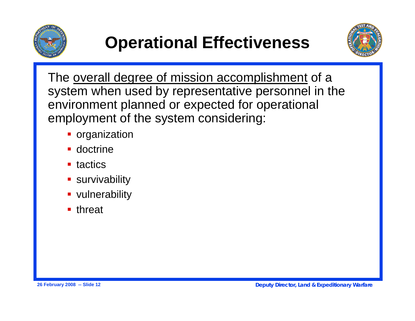



The overall degree of mission accomplishment of a system when used by representative personnel in the environment planned or expected for operational employment of the system considering:

- **•** organization
- **-** doctrine
- **u** tactics
- **survivability**
- **vulnerability**
- **u** threat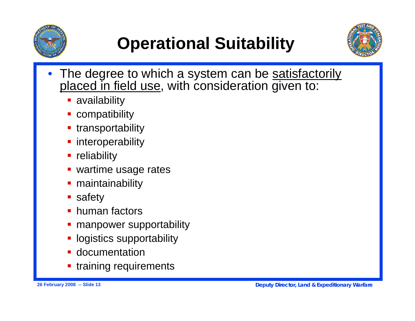

# **Operational Suitability**



- • The degree to which a system can be satisfactorily placed in field use, with consideration given to:
	- **availability**
	- $\mathcal{L}(\mathcal{L})$ compatibility
	- **Service Service** transportability
	- **n** interoperability
	- **Filler** reliability
	- **wartime usage rates**
	- Ξ maintainability
	- $\mathcal{L}(\mathcal{L})$ safety
	- Ξ human factors
	- Ξ manpower supportability
	- logistics supportability
	- **-** documentation
	- Ξ training requirements